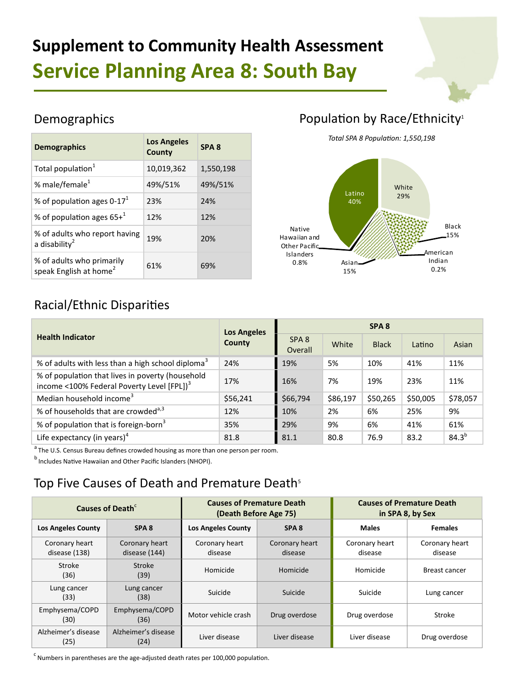# **Supplement to Community Health Assessment Service Planning Area 8: South Bay**

#### Demographics

| <b>Demographics</b>                                             | <b>Los Angeles</b><br>County | SPA <sub>8</sub> |
|-----------------------------------------------------------------|------------------------------|------------------|
| Total population <sup>1</sup>                                   | 10,019,362                   | 1,550,198        |
| % male/female <sup>1</sup>                                      | 49%/51%                      | 49%/51%          |
| % of population ages $0-171$                                    | 23%                          | 24%              |
| % of population ages $65+^1$                                    | 12%                          | 12%              |
| % of adults who report having<br>a disability $^2$              | 19%                          | 20%              |
| % of adults who primarily<br>speak English at home <sup>2</sup> | 61%                          | 69%              |

## Population by Race/Ethnicity<sup>1</sup>

*Total SPA 8 Population: 1,550,198*



## Racial/Ethnic Disparities

|                                                                                                            | <b>Los Angeles</b> | SPA <sub>8</sub>            |          |              |          |            |
|------------------------------------------------------------------------------------------------------------|--------------------|-----------------------------|----------|--------------|----------|------------|
| <b>Health Indicator</b>                                                                                    | County             | SPA <sub>8</sub><br>Overall | White    | <b>Black</b> | Latino   | Asian      |
| % of adults with less than a high school diploma <sup>3</sup>                                              | 24%                | 19%                         | 5%       | 10%          | 41%      | 11%        |
| % of population that lives in poverty (household<br>income <100% Federal Poverty Level [FPL]) <sup>3</sup> | 17%                | 16%                         | 7%       | 19%          | 23%      | 11%        |
| Median household income <sup>3</sup>                                                                       | \$56,241           | \$66,794                    | \$86,197 | \$50,265     | \$50,005 | \$78,057   |
| % of households that are crowded <sup>a,3</sup>                                                            | 12%                | 10%                         | 2%       | 6%           | 25%      | 9%         |
| % of population that is foreign-born <sup>3</sup>                                                          | 35%                | 29%                         | 9%       | 6%           | 41%      | 61%        |
| Life expectancy (in years) <sup>4</sup>                                                                    | 81.8               | 81.1                        | 80.8     | 76.9         | 83.2     | $84.3^{b}$ |

 $a$  The U.S. Census Bureau defines crowded housing as more than one person per room.

 $<sup>b</sup>$  Includes Native Hawaiian and Other Pacific Islanders (NHOPI).</sup>

### Top Five Causes of Death and Premature Death<sup>5</sup>

| Causes of Death <sup>c</sup>    |                                 | <b>Causes of Premature Death</b><br>(Death Before Age 75) |                           | <b>Causes of Premature Death</b><br>in SPA 8, by Sex |                           |
|---------------------------------|---------------------------------|-----------------------------------------------------------|---------------------------|------------------------------------------------------|---------------------------|
| <b>Los Angeles County</b>       | SPA <sub>8</sub>                | <b>Los Angeles County</b>                                 | SPA <sub>8</sub>          | <b>Males</b>                                         | <b>Females</b>            |
| Coronary heart<br>disease (138) | Coronary heart<br>disease (144) | Coronary heart<br>disease                                 | Coronary heart<br>disease | Coronary heart<br>disease                            | Coronary heart<br>disease |
| Stroke<br>(36)                  | Stroke<br>(39)                  | Homicide                                                  | Homicide                  | Homicide                                             | Breast cancer             |
| Lung cancer<br>(33)             | Lung cancer<br>(38)             | Suicide                                                   | Suicide                   | Suicide                                              | Lung cancer               |
| Emphysema/COPD<br>(30)          | Emphysema/COPD<br>(36)          | Motor vehicle crash                                       | Drug overdose             | Drug overdose                                        | Stroke                    |
| Alzheimer's disease<br>(25)     | Alzheimer's disease<br>(24)     | Liver disease                                             | Liver disease             | Liver disease                                        | Drug overdose             |

Numbers in parentheses are the age-adjusted death rates per 100,000 population.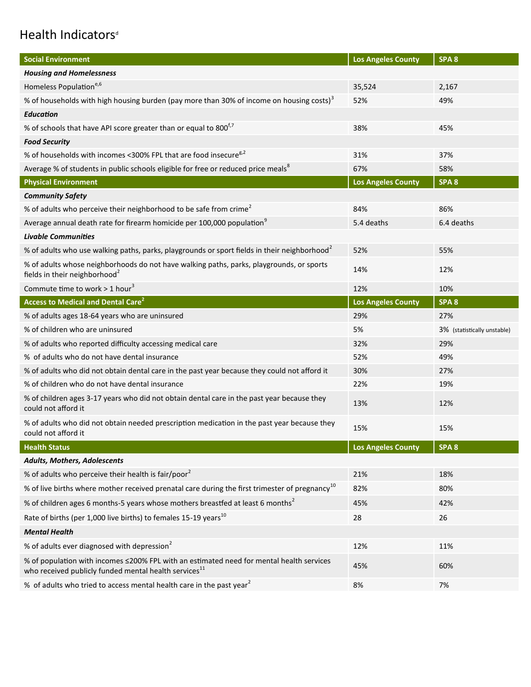## Health Indicators<sup>d</sup>

| <b>Social Environment</b>                                                                                                                                     | <b>Los Angeles County</b> | SPA <sub>8</sub>            |
|---------------------------------------------------------------------------------------------------------------------------------------------------------------|---------------------------|-----------------------------|
| <b>Housing and Homelessness</b>                                                                                                                               |                           |                             |
| Homeless Population <sup>e,6</sup>                                                                                                                            | 35,524                    | 2,167                       |
| % of households with high housing burden (pay more than 30% of income on housing costs) <sup>3</sup>                                                          | 52%                       | 49%                         |
| Education                                                                                                                                                     |                           |                             |
| % of schools that have API score greater than or equal to 800 <sup>f,7</sup>                                                                                  | 38%                       | 45%                         |
| <b>Food Security</b>                                                                                                                                          |                           |                             |
| % of households with incomes <300% FPL that are food insecure <sup>g,2</sup>                                                                                  | 31%                       | 37%                         |
| Average % of students in public schools eligible for free or reduced price meals <sup>8</sup>                                                                 | 67%                       | 58%                         |
| <b>Physical Environment</b>                                                                                                                                   | <b>Los Angeles County</b> | SPA <sub>8</sub>            |
| <b>Community Safety</b>                                                                                                                                       |                           |                             |
| % of adults who perceive their neighborhood to be safe from crime <sup>2</sup>                                                                                | 84%                       | 86%                         |
| Average annual death rate for firearm homicide per 100,000 population <sup>9</sup>                                                                            | 5.4 deaths                | 6.4 deaths                  |
| <b>Livable Communities</b>                                                                                                                                    |                           |                             |
| % of adults who use walking paths, parks, playgrounds or sport fields in their neighborhood <sup>2</sup>                                                      | 52%                       | 55%                         |
| % of adults whose neighborhoods do not have walking paths, parks, playgrounds, or sports<br>fields in their neighborhood <sup>2</sup>                         | 14%                       | 12%                         |
| Commute time to work $> 1$ hour <sup>3</sup>                                                                                                                  | 12%                       | 10%                         |
| <b>Access to Medical and Dental Care<sup>2</sup></b>                                                                                                          | <b>Los Angeles County</b> | SPA <sub>8</sub>            |
| % of adults ages 18-64 years who are uninsured                                                                                                                | 29%                       | 27%                         |
| % of children who are uninsured                                                                                                                               | 5%                        | 3% (statistically unstable) |
| % of adults who reported difficulty accessing medical care                                                                                                    | 32%                       | 29%                         |
| % of adults who do not have dental insurance                                                                                                                  | 52%                       | 49%                         |
| % of adults who did not obtain dental care in the past year because they could not afford it                                                                  | 30%                       | 27%                         |
| % of children who do not have dental insurance                                                                                                                | 22%                       | 19%                         |
| % of children ages 3-17 years who did not obtain dental care in the past year because they<br>could not afford it                                             | 13%                       | 12%                         |
| % of adults who did not obtain needed prescription medication in the past year because they<br>could not afford it                                            | 15%                       | 15%                         |
| <b>Health Status</b>                                                                                                                                          | <b>Los Angeles County</b> | SPA <sub>8</sub>            |
| Adults, Mothers, Adolescents                                                                                                                                  |                           |                             |
| % of adults who perceive their health is fair/poor <sup>2</sup>                                                                                               | 21%                       | 18%                         |
| % of live births where mother received prenatal care during the first trimester of pregnancy <sup>10</sup>                                                    | 82%                       | 80%                         |
| % of children ages 6 months-5 years whose mothers breastfed at least 6 months <sup>2</sup>                                                                    | 45%                       | 42%                         |
| Rate of births (per 1,000 live births) to females 15-19 years <sup>10</sup>                                                                                   | 28                        | 26                          |
| <b>Mental Health</b>                                                                                                                                          |                           |                             |
| % of adults ever diagnosed with depression <sup>2</sup>                                                                                                       | 12%                       | 11%                         |
| % of population with incomes ≤200% FPL with an estimated need for mental health services<br>who received publicly funded mental health services <sup>11</sup> | 45%                       | 60%                         |
| % of adults who tried to access mental health care in the past year <sup>2</sup>                                                                              | 8%                        | 7%                          |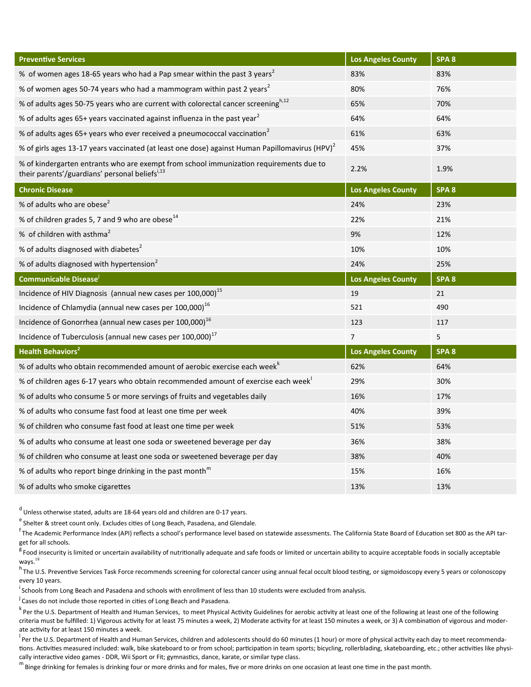| <b>Preventive Services</b>                                                                                                               | <b>Los Angeles County</b> | SPA <sub>8</sub> |
|------------------------------------------------------------------------------------------------------------------------------------------|---------------------------|------------------|
| % of women ages 18-65 years who had a Pap smear within the past 3 years <sup>2</sup>                                                     | 83%                       | 83%              |
| % of women ages 50-74 years who had a mammogram within past 2 years <sup>2</sup>                                                         | 80%                       | 76%              |
| % of adults ages 50-75 years who are current with colorectal cancer screening <sup>h,12</sup>                                            | 65%                       | 70%              |
| % of adults ages 65+ years vaccinated against influenza in the past year <sup>2</sup>                                                    | 64%                       | 64%              |
| % of adults ages 65+ years who ever received a pneumococcal vaccination <sup>2</sup>                                                     | 61%                       | 63%              |
| % of girls ages 13-17 years vaccinated (at least one dose) against Human Papillomavirus (HPV) <sup>2</sup>                               | 45%                       | 37%              |
| % of kindergarten entrants who are exempt from school immunization requirements due to<br>their parents'/guardians' personal beliefsi,13 | 2.2%                      | 1.9%             |
| <b>Chronic Disease</b>                                                                                                                   | <b>Los Angeles County</b> | SPA 8            |
| % of adults who are obese <sup>2</sup>                                                                                                   | 24%                       | 23%              |
| % of children grades 5, 7 and 9 who are obese <sup>14</sup>                                                                              | 22%                       | 21%              |
| % of children with asthma <sup>2</sup>                                                                                                   | 9%                        | 12%              |
| % of adults diagnosed with diabetes <sup>2</sup>                                                                                         | 10%                       | 10%              |
| % of adults diagnosed with hypertension <sup>2</sup>                                                                                     | 24%                       | 25%              |
|                                                                                                                                          |                           |                  |
| Communicable Disease                                                                                                                     | <b>Los Angeles County</b> | SPA <sub>8</sub> |
| Incidence of HIV Diagnosis (annual new cases per 100,000) <sup>15</sup>                                                                  | 19                        | 21               |
| Incidence of Chlamydia (annual new cases per 100,000) <sup>16</sup>                                                                      | 521                       | 490              |
| Incidence of Gonorrhea (annual new cases per 100,000) <sup>16</sup>                                                                      | 123                       | 117              |
| Incidence of Tuberculosis (annual new cases per 100,000) <sup>17</sup>                                                                   | $\overline{7}$            | 5                |
| <b>Health Behaviors<sup>2</sup></b>                                                                                                      | <b>Los Angeles County</b> | SPA <sub>8</sub> |
| % of adults who obtain recommended amount of aerobic exercise each week <sup>k</sup>                                                     | 62%                       | 64%              |
| % of children ages 6-17 years who obtain recommended amount of exercise each week                                                        | 29%                       | 30%              |
| % of adults who consume 5 or more servings of fruits and vegetables daily                                                                | 16%                       | 17%              |
| % of adults who consume fast food at least one time per week                                                                             | 40%                       | 39%              |
| % of children who consume fast food at least one time per week                                                                           | 51%                       | 53%              |
| % of adults who consume at least one soda or sweetened beverage per day                                                                  | 36%                       | 38%              |
| % of children who consume at least one soda or sweetened beverage per day                                                                | 38%                       | 40%              |
| % of adults who report binge drinking in the past month <sup>m</sup>                                                                     | 15%                       | 16%              |

 $^d$  Unless otherwise stated, adults are 18-64 years old and children are 0-17 years.

 $e^e$  Shelter & street count only. Excludes cities of Long Beach, Pasadena, and Glendale.

<sup>f</sup> The Academic Performance Index (API) reflects a school's performance level based on statewide assessments. The California State Board of Education set 800 as the API target for all schools.

 $<sup>g</sup>$  Food insecurity is limited or uncertain availability of nutritionally adequate and safe foods or limited or uncertain ability to acquire acceptable foods in socially acceptable</sup>  $ways.<sup>18</sup>$ 

<sup>h</sup> The U.S. Preventive Services Task Force recommends screening for colorectal cancer using annual fecal occult blood testing, or sigmoidoscopy every 5 years or colonoscopy every 10 years.

<sup>i</sup>Schools from Long Beach and Pasadena and schools with enrollment of less than 10 students were excluded from analysis.

<sup>j</sup> Cases do not include those reported in cities of Long Beach and Pasadena.

k Per the U.S. Department of Health and Human Services, to meet Physical Activity Guidelines for aerobic activity at least one of the following at least one of the following criteria must be fulfilled: 1) Vigorous activity for at least 75 minutes a week, 2) Moderate activity for at least 150 minutes a week, or 3) A combination of vigorous and moderate activity for at least 150 minutes a week.

Per the U.S. Department of Health and Human Services, children and adolescents should do 60 minutes (1 hour) or more of physical activity each day to meet recommendations. Activities measured included: walk, bike skateboard to or from school; participation in team sports; bicycling, rollerblading, skateboarding, etc.; other activities like physically interactive video games - DDR, Wii Sport or Fit; gymnastics, dance, karate, or similar type class.

 $^{\rm m}$  Binge drinking for females is drinking four or more drinks and for males, five or more drinks on one occasion at least one time in the past month.